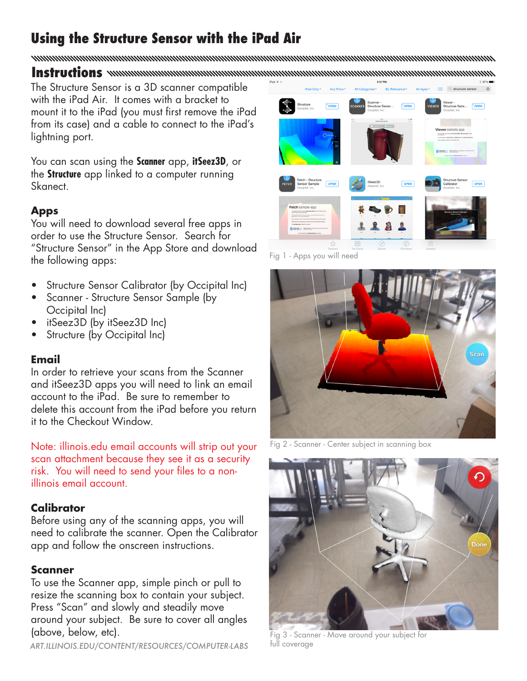# **Using the Structure Sensor with the iPad Air**

#### 

**Instructions**

The Structure Sensor is a 3D scanner compatible with the iPad Air. It comes with a bracket to mount it to the iPad (you must first remove the iPad from its case) and a cable to connect to the iPad's lightning port.

You can scan using the **Scanner** app, **itSeez3D**, or the **Structure** app linked to a computer running Skanect.

# **Apps**

You will need to download several free apps in order to use the Structure Sensor. Search for "Structure Sensor" in the App Store and download the following apps:

- Structure Sensor Calibrator (by Occipital Inc)
- Scanner Structure Sensor Sample (by Occipital Inc)
- itSeez3D (by itSeez3D Inc)
- Structure (by Occipital Inc)

# **Email**

In order to retrieve your scans from the Scanner and itSeez3D apps you will need to link an email account to the iPad. Be sure to remember to delete this account from the iPad before you return it to the Checkout Window.

Note: illinois.edu email accounts will strip out your scan attachment because they see it as a security risk. You will need to send your files to a nonillinois email account.

# **Calibrator**

Before using any of the scanning apps, you will need to calibrate the scanner. Open the Calibrator app and follow the onscreen instructions.

### **Scanner**

To use the Scanner app, simple pinch or pull to resize the scanning box to contain your subject. Press "Scan" and slowly and steadily move around your subject. Be sure to cover all angles (above, below, etc).

*ART.ILLINOIS.EDU/CONTENT/RESOURCES/COMPUTER-LABS*



Fig 1 - Apps you will need



Fig 2 - Scanner - Center subject in scanning box



Fig 3 - Scanner - Move around your subject for full coverage